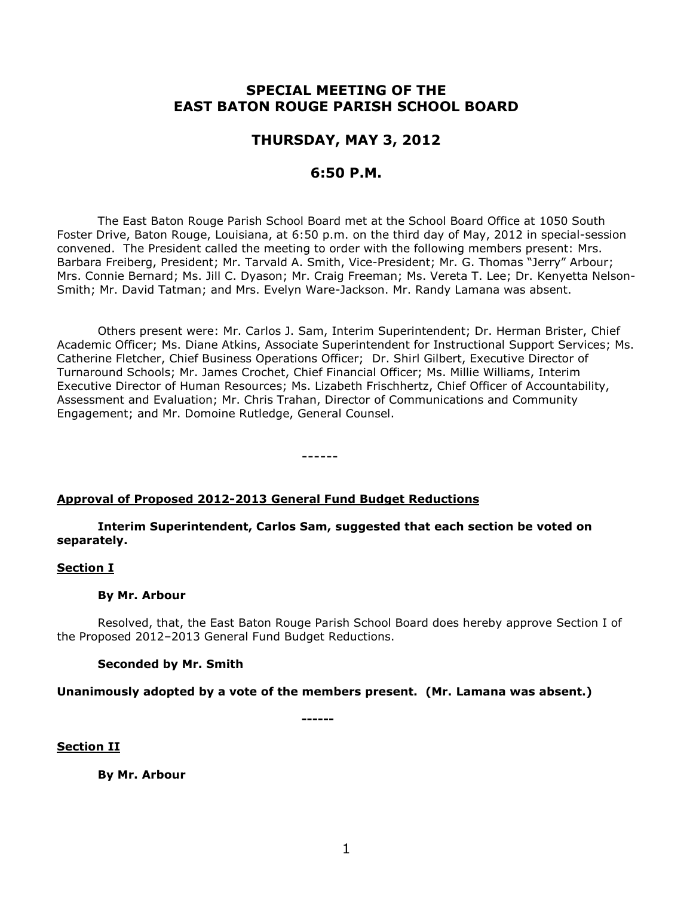# **SPECIAL MEETING OF THE EAST BATON ROUGE PARISH SCHOOL BOARD**

# **THURSDAY, MAY 3, 2012**

# **6:50 P.M.**

The East Baton Rouge Parish School Board met at the School Board Office at 1050 South Foster Drive, Baton Rouge, Louisiana, at 6:50 p.m. on the third day of May, 2012 in special-session convened. The President called the meeting to order with the following members present: Mrs. Barbara Freiberg, President; Mr. Tarvald A. Smith, Vice-President; Mr. G. Thomas "Jerry" Arbour; Mrs. Connie Bernard; Ms. Jill C. Dyason; Mr. Craig Freeman; Ms. Vereta T. Lee; Dr. Kenyetta Nelson-Smith; Mr. David Tatman; and Mrs. Evelyn Ware-Jackson. Mr. Randy Lamana was absent.

Others present were: Mr. Carlos J. Sam, Interim Superintendent; Dr. Herman Brister, Chief Academic Officer; Ms. Diane Atkins, Associate Superintendent for Instructional Support Services; Ms. Catherine Fletcher, Chief Business Operations Officer; Dr. Shirl Gilbert, Executive Director of Turnaround Schools; Mr. James Crochet, Chief Financial Officer; Ms. Millie Williams, Interim Executive Director of Human Resources; Ms. Lizabeth Frischhertz, Chief Officer of Accountability, Assessment and Evaluation; Mr. Chris Trahan, Director of Communications and Community Engagement; and Mr. Domoine Rutledge, General Counsel.

# **Approval of Proposed 2012-2013 General Fund Budget Reductions**

**Interim Superintendent, Carlos Sam, suggested that each section be voted on separately.**

------

# **Section I**

# **By Mr. Arbour**

Resolved, that, the East Baton Rouge Parish School Board does hereby approve Section I of the Proposed 2012–2013 General Fund Budget Reductions.

# **Seconded by Mr. Smith**

**Unanimously adopted by a vote of the members present. (Mr. Lamana was absent.)**

**------**

# **Section II**

**By Mr. Arbour**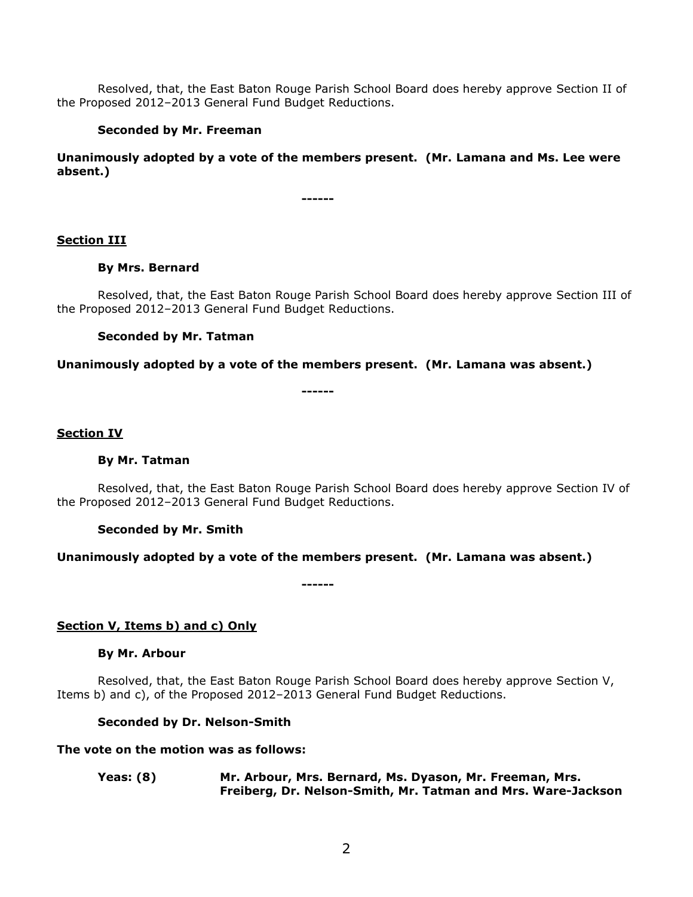Resolved, that, the East Baton Rouge Parish School Board does hereby approve Section II of the Proposed 2012–2013 General Fund Budget Reductions.

# **Seconded by Mr. Freeman**

**Unanimously adopted by a vote of the members present. (Mr. Lamana and Ms. Lee were absent.)**

**------**

## **Section III**

## **By Mrs. Bernard**

Resolved, that, the East Baton Rouge Parish School Board does hereby approve Section III of the Proposed 2012–2013 General Fund Budget Reductions.

## **Seconded by Mr. Tatman**

## **Unanimously adopted by a vote of the members present. (Mr. Lamana was absent.)**

**------**

## **Section IV**

### **By Mr. Tatman**

Resolved, that, the East Baton Rouge Parish School Board does hereby approve Section IV of the Proposed 2012–2013 General Fund Budget Reductions.

**Seconded by Mr. Smith**

# **Unanimously adopted by a vote of the members present. (Mr. Lamana was absent.)**

**------**

**Section V, Items b) and c) Only**

### **By Mr. Arbour**

Resolved, that, the East Baton Rouge Parish School Board does hereby approve Section V, Items b) and c), of the Proposed 2012–2013 General Fund Budget Reductions.

# **Seconded by Dr. Nelson-Smith**

# **The vote on the motion was as follows:**

**Yeas: (8) Mr. Arbour, Mrs. Bernard, Ms. Dyason, Mr. Freeman, Mrs. Freiberg, Dr. Nelson-Smith, Mr. Tatman and Mrs. Ware-Jackson**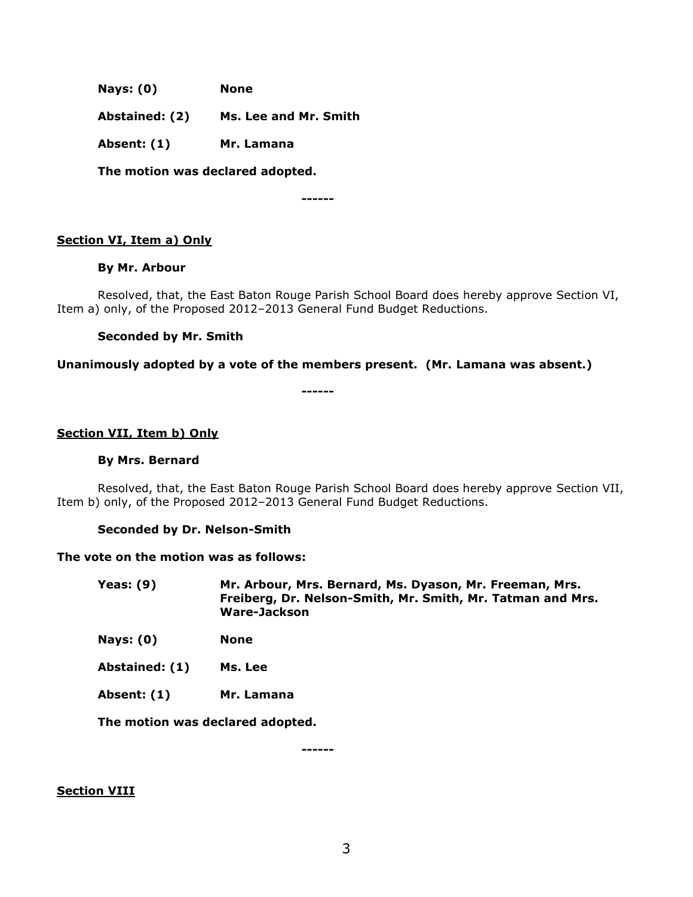**Nays: (0) None**

**Abstained: (2) Ms. Lee and Mr. Smith**

**Absent: (1) Mr. Lamana**

**The motion was declared adopted.**

**------**

# **Section VI, Item a) Only**

## **By Mr. Arbour**

Resolved, that, the East Baton Rouge Parish School Board does hereby approve Section VI, Item a) only, of the Proposed 2012–2013 General Fund Budget Reductions.

# **Seconded by Mr. Smith**

## **Unanimously adopted by a vote of the members present. (Mr. Lamana was absent.)**

**------**

# **Section VII, Item b) Only**

### **By Mrs. Bernard**

Resolved, that, the East Baton Rouge Parish School Board does hereby approve Section VII, Item b) only, of the Proposed 2012–2013 General Fund Budget Reductions.

# **Seconded by Dr. Nelson-Smith**

### **The vote on the motion was as follows:**

**Yeas: (9) Mr. Arbour, Mrs. Bernard, Ms. Dyason, Mr. Freeman, Mrs. Freiberg, Dr. Nelson-Smith, Mr. Smith, Mr. Tatman and Mrs. Ware-Jackson**

- **Nays: (0) None**
- **Abstained: (1) Ms. Lee**
- **Absent: (1) Mr. Lamana**

**The motion was declared adopted.**

**------**

# **Section VIII**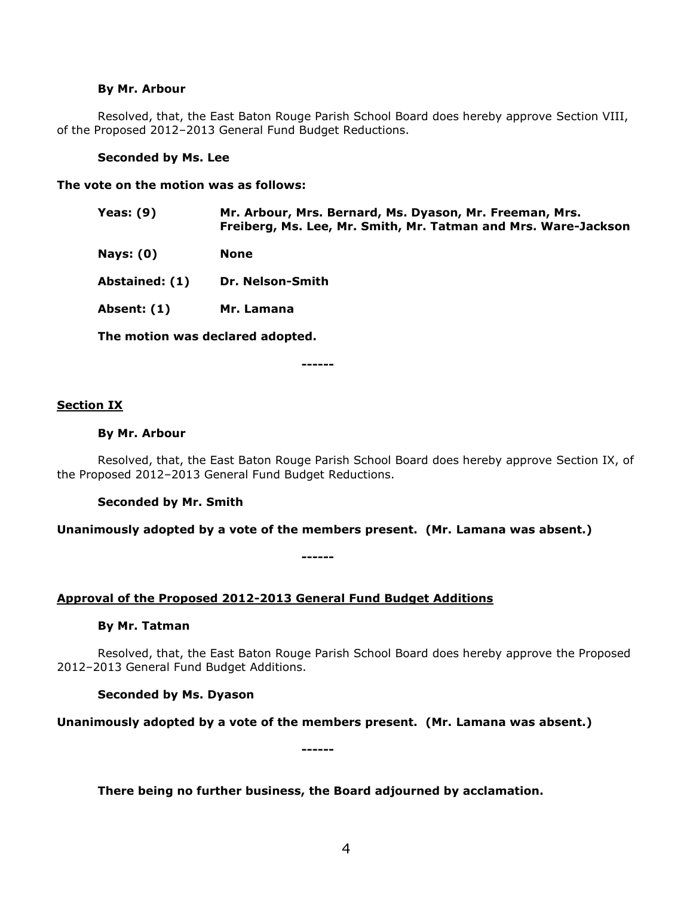### **By Mr. Arbour**

Resolved, that, the East Baton Rouge Parish School Board does hereby approve Section VIII, of the Proposed 2012–2013 General Fund Budget Reductions.

### **Seconded by Ms. Lee**

**The vote on the motion was as follows:**

- **Yeas: (9) Mr. Arbour, Mrs. Bernard, Ms. Dyason, Mr. Freeman, Mrs. Freiberg, Ms. Lee, Mr. Smith, Mr. Tatman and Mrs. Ware-Jackson**
- **Nays: (0) None**
- **Abstained: (1) Dr. Nelson-Smith**
- **Absent: (1) Mr. Lamana**

**The motion was declared adopted.**

**------**

## **Section IX**

### **By Mr. Arbour**

Resolved, that, the East Baton Rouge Parish School Board does hereby approve Section IX, of the Proposed 2012–2013 General Fund Budget Reductions.

### **Seconded by Mr. Smith**

**Unanimously adopted by a vote of the members present. (Mr. Lamana was absent.)**

**------**

# **Approval of the Proposed 2012-2013 General Fund Budget Additions**

### **By Mr. Tatman**

Resolved, that, the East Baton Rouge Parish School Board does hereby approve the Proposed 2012–2013 General Fund Budget Additions.

### **Seconded by Ms. Dyason**

**Unanimously adopted by a vote of the members present. (Mr. Lamana was absent.)**

**------**

# **There being no further business, the Board adjourned by acclamation.**